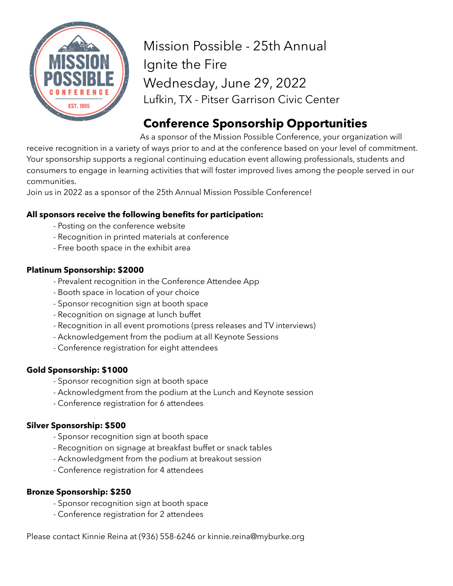

Mission Possible - 25th Annual Ignite the Fire Wednesday, June 29, 2022 Lufkin, TX - Pitser Garrison Civic Center

# **Conference Sponsorship Opportunities**

As a sponsor of the Mission Possible Conference, your organization will receive recognition in a variety of ways prior to and at the conference based on your level of commitment. Your sponsorship supports a regional continuing education event allowing professionals, students and consumers to engage in learning activities that will foster improved lives among the people served in our communities.

Join us in 2022 as a sponsor of the 25th Annual Mission Possible Conference!

### **All sponsors receive the following benefits for participation:**

- Posting on the conference website
- Recognition in printed materials at conference
- Free booth space in the exhibit area

### **Platinum Sponsorship: \$2000**

- Prevalent recognition in the Conference Attendee App
- Booth space in location of your choice
- Sponsor recognition sign at booth space
- Recognition on signage at lunch buffet
- Recognition in all event promotions (press releases and TV interviews)
- Acknowledgement from the podium at all Keynote Sessions
- Conference registration for eight attendees

### **Gold Sponsorship: \$1000**

- Sponsor recognition sign at booth space
- Acknowledgment from the podium at the Lunch and Keynote session
- Conference registration for 6 attendees

### **Silver Sponsorship: \$500**

- Sponsor recognition sign at booth space
- Recognition on signage at breakfast buffet or snack tables
- Acknowledgment from the podium at breakout session
- Conference registration for 4 attendees

### **Bronze Sponsorship: \$250**

- Sponsor recognition sign at booth space
- Conference registration for 2 attendees

Please contact Kinnie Reina at (936) 558-6246 or kinnie.reina@myburke.org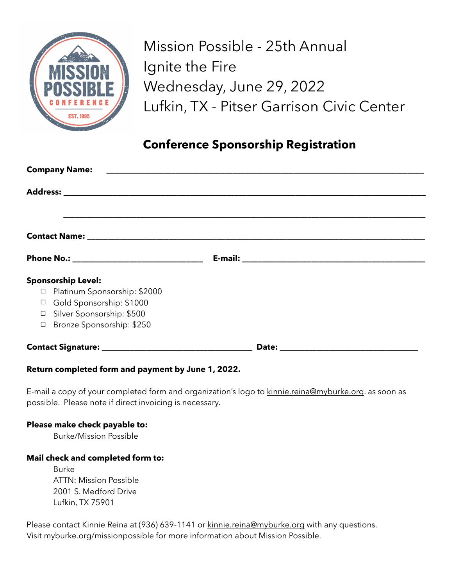

Mission Possible - 25th Annual Ignite the Fire Wednesday, June 29, 2022 Lufkin, TX - Pitser Garrison Civic Center

## **Conference Sponsorship Registration**

| <b>Company Name:</b>                                                                                                                                                            |  |  |
|---------------------------------------------------------------------------------------------------------------------------------------------------------------------------------|--|--|
|                                                                                                                                                                                 |  |  |
|                                                                                                                                                                                 |  |  |
|                                                                                                                                                                                 |  |  |
|                                                                                                                                                                                 |  |  |
| <b>Sponsorship Level:</b><br>Platinum Sponsorship: \$2000<br>$\Box$<br>Gold Sponsorship: \$1000<br>$\Box$<br>□ Silver Sponsorship: \$500<br>Bronze Sponsorship: \$250<br>$\Box$ |  |  |
|                                                                                                                                                                                 |  |  |

### **Return completed form and payment by June 1, 2022.**

E-mail a copy of your completed form and organization's logo to [kinnie.reina@myburke.org](mailto:kinnie.reina@myburke.org). as soon as possible. Please note if direct invoicing is necessary.

#### **Please make check payable to:**

Burke/Mission Possible

### **Mail check and completed form to:**

Burke ATTN: Mission Possible 2001 S. Medford Drive Lufkin, TX 75901

Please contact Kinnie Reina at (936) 639-1141 or [kinnie.reina@myburke.org](mailto:kinnie.reina@myburke.org) with any questions. Visit [myburke.org/missionpossible](http://myburke.org/missionpossible) for more information about Mission Possible.